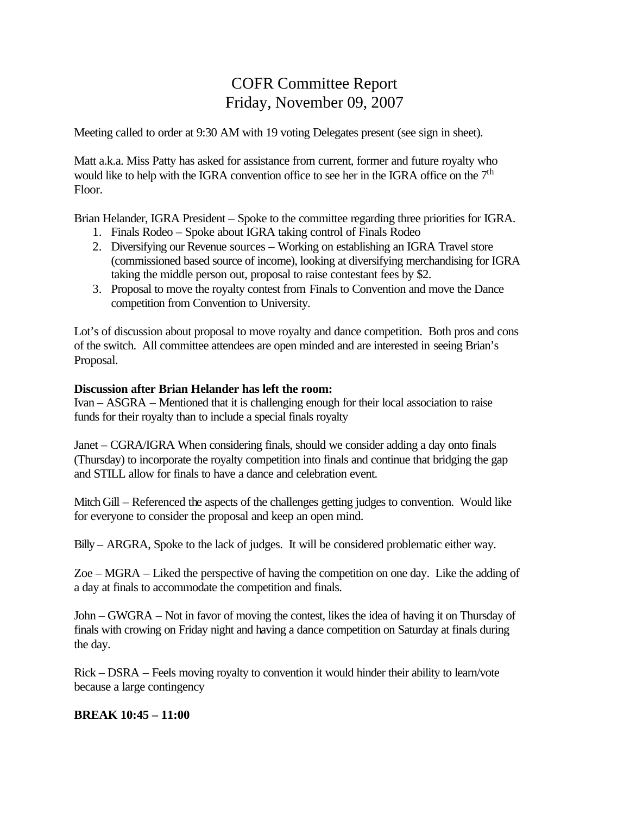# COFR Committee Report Friday, November 09, 2007

Meeting called to order at 9:30 AM with 19 voting Delegates present (see sign in sheet).

Matt a.k.a. Miss Patty has asked for assistance from current, former and future royalty who would like to help with the IGRA convention office to see her in the IGRA office on the  $7<sup>th</sup>$ Floor.

Brian Helander, IGRA President – Spoke to the committee regarding three priorities for IGRA.

- 1. Finals Rodeo Spoke about IGRA taking control of Finals Rodeo
- 2. Diversifying our Revenue sources Working on establishing an IGRA Travel store (commissioned based source of income), looking at diversifying merchandising for IGRA taking the middle person out, proposal to raise contestant fees by \$2.
- 3. Proposal to move the royalty contest from Finals to Convention and move the Dance competition from Convention to University.

Lot's of discussion about proposal to move royalty and dance competition. Both pros and cons of the switch. All committee attendees are open minded and are interested in seeing Brian's Proposal.

#### **Discussion after Brian Helander has left the room:**

Ivan – ASGRA – Mentioned that it is challenging enough for their local association to raise funds for their royalty than to include a special finals royalty

Janet – CGRA/IGRA When considering finals, should we consider adding a day onto finals (Thursday) to incorporate the royalty competition into finals and continue that bridging the gap and STILL allow for finals to have a dance and celebration event.

Mitch Gill – Referenced the aspects of the challenges getting judges to convention. Would like for everyone to consider the proposal and keep an open mind.

Billy – ARGRA, Spoke to the lack of judges. It will be considered problematic either way.

Zoe – MGRA – Liked the perspective of having the competition on one day. Like the adding of a day at finals to accommodate the competition and finals.

John – GWGRA – Not in favor of moving the contest, likes the idea of having it on Thursday of finals with crowing on Friday night and having a dance competition on Saturday at finals during the day.

Rick – DSRA – Feels moving royalty to convention it would hinder their ability to learn/vote because a large contingency

#### **BREAK 10:45 – 11:00**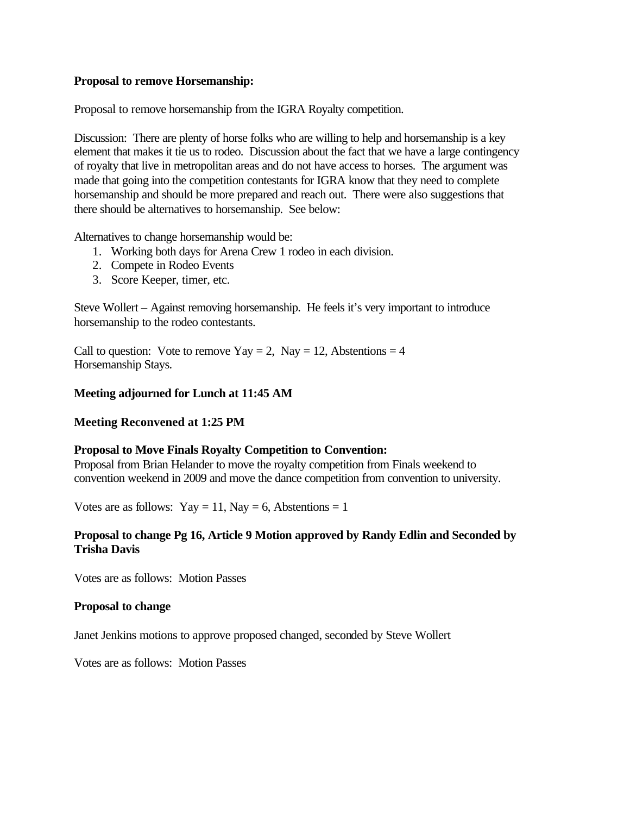#### **Proposal to remove Horsemanship:**

Proposal to remove horsemanship from the IGRA Royalty competition.

Discussion: There are plenty of horse folks who are willing to help and horsemanship is a key element that makes it tie us to rodeo. Discussion about the fact that we have a large contingency of royalty that live in metropolitan areas and do not have access to horses. The argument was made that going into the competition contestants for IGRA know that they need to complete horsemanship and should be more prepared and reach out. There were also suggestions that there should be alternatives to horsemanship. See below:

Alternatives to change horsemanship would be:

- 1. Working both days for Arena Crew 1 rodeo in each division.
- 2. Compete in Rodeo Events
- 3. Score Keeper, timer, etc.

Steve Wollert – Against removing horsemanship. He feels it's very important to introduce horsemanship to the rodeo contestants.

Call to question: Vote to remove  $\text{Yay} = 2$ ,  $\text{Nay} = 12$ , Abstentions = 4 Horsemanship Stays.

# **Meeting adjourned for Lunch at 11:45 AM**

#### **Meeting Reconvened at 1:25 PM**

#### **Proposal to Move Finals Royalty Competition to Convention:**

Proposal from Brian Helander to move the royalty competition from Finals weekend to convention weekend in 2009 and move the dance competition from convention to university.

Votes are as follows: Yay = 11, Nay = 6, Abstentions = 1

#### **Proposal to change Pg 16, Article 9 Motion approved by Randy Edlin and Seconded by Trisha Davis**

Votes are as follows: Motion Passes

#### **Proposal to change**

Janet Jenkins motions to approve proposed changed, seconded by Steve Wollert

Votes are as follows: Motion Passes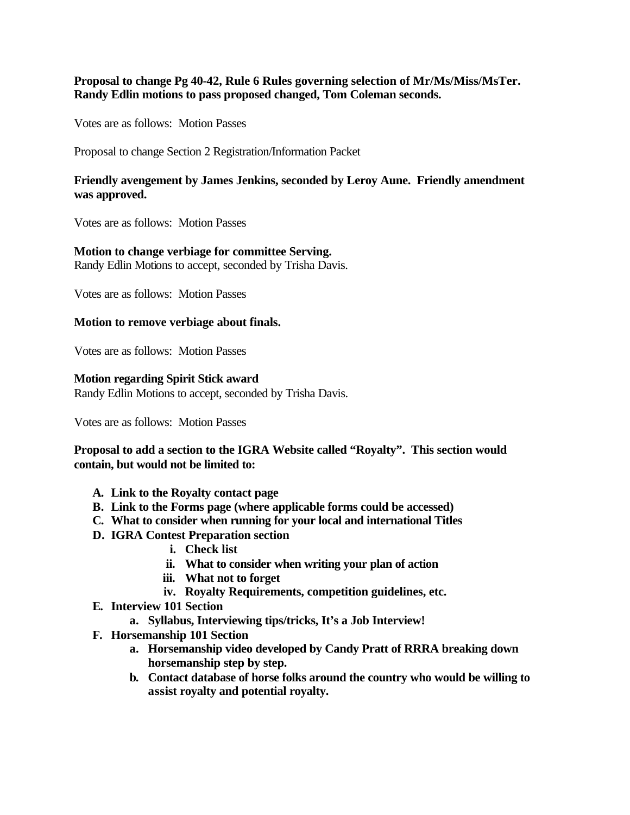## **Proposal to change Pg 40-42, Rule 6 Rules governing selection of Mr/Ms/Miss/MsTer. Randy Edlin motions to pass proposed changed, Tom Coleman seconds.**

Votes are as follows: Motion Passes

Proposal to change Section 2 Registration/Information Packet

## **Friendly avengement by James Jenkins, seconded by Leroy Aune. Friendly amendment was approved.**

Votes are as follows: Motion Passes

#### **Motion to change verbiage for committee Serving.**

Randy Edlin Motions to accept, seconded by Trisha Davis.

Votes are as follows: Motion Passes

#### **Motion to remove verbiage about finals.**

Votes are as follows: Motion Passes

#### **Motion regarding Spirit Stick award**

Randy Edlin Motions to accept, seconded by Trisha Davis.

Votes are as follows: Motion Passes

# **Proposal to add a section to the IGRA Website called "Royalty". This section would contain, but would not be limited to:**

- **A. Link to the Royalty contact page**
- **B. Link to the Forms page (where applicable forms could be accessed)**
- **C. What to consider when running for your local and international Titles**
- **D. IGRA Contest Preparation section**
	- **i. Check list**
	- **ii. What to consider when writing your plan of action**
	- **iii. What not to forget**
	- **iv. Royalty Requirements, competition guidelines, etc.**
- **E. Interview 101 Section**
	- **a. Syllabus, Interviewing tips/tricks, It's a Job Interview!**
- **F. Horsemanship 101 Section**
	- **a. Horsemanship video developed by Candy Pratt of RRRA breaking down horsemanship step by step.**
	- **b. Contact database of horse folks around the country who would be willing to assist royalty and potential royalty.**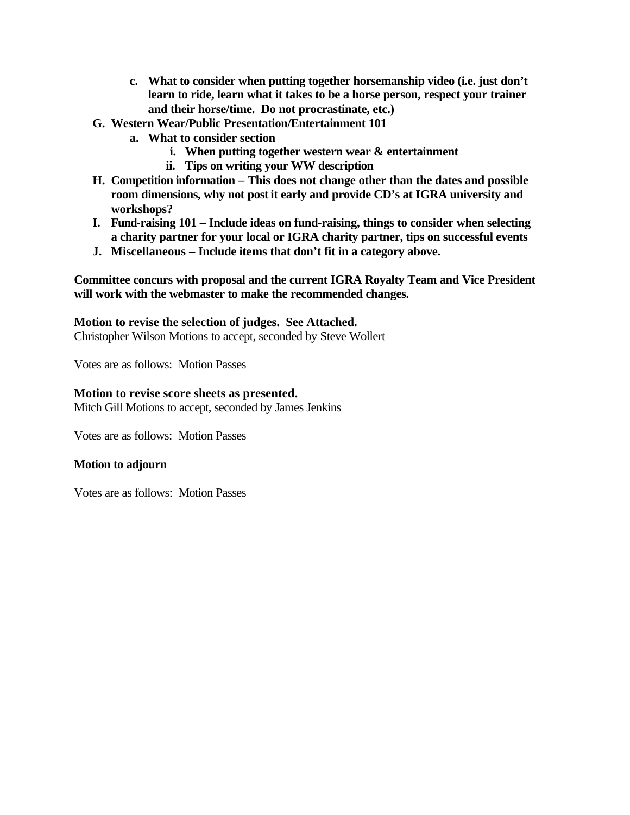- **c. What to consider when putting together horsemanship video (i.e. just don't learn to ride, learn what it takes to be a horse person, respect your trainer and their horse/time. Do not procrastinate, etc.)**
- **G. Western Wear/Public Presentation/Entertainment 101**
	- **a. What to consider section**
		- **i. When putting together western wear & entertainment**
		- **ii. Tips on writing your WW description**
- **H. Competition information This does not change other than the dates and possible room dimensions, why not post it early and provide CD's at IGRA university and workshops?**
- **I. Fund-raising 101 Include ideas on fund-raising, things to consider when selecting a charity partner for your local or IGRA charity partner, tips on successful events**
- **J. Miscellaneous Include items that don't fit in a category above.**

**Committee concurs with proposal and the current IGRA Royalty Team and Vice President will work with the webmaster to make the recommended changes.**

# **Motion to revise the selection of judges. See Attached.**

Christopher Wilson Motions to accept, seconded by Steve Wollert

Votes are as follows: Motion Passes

#### **Motion to revise score sheets as presented.**

Mitch Gill Motions to accept, seconded by James Jenkins

Votes are as follows: Motion Passes

#### **Motion to adjourn**

Votes are as follows: Motion Passes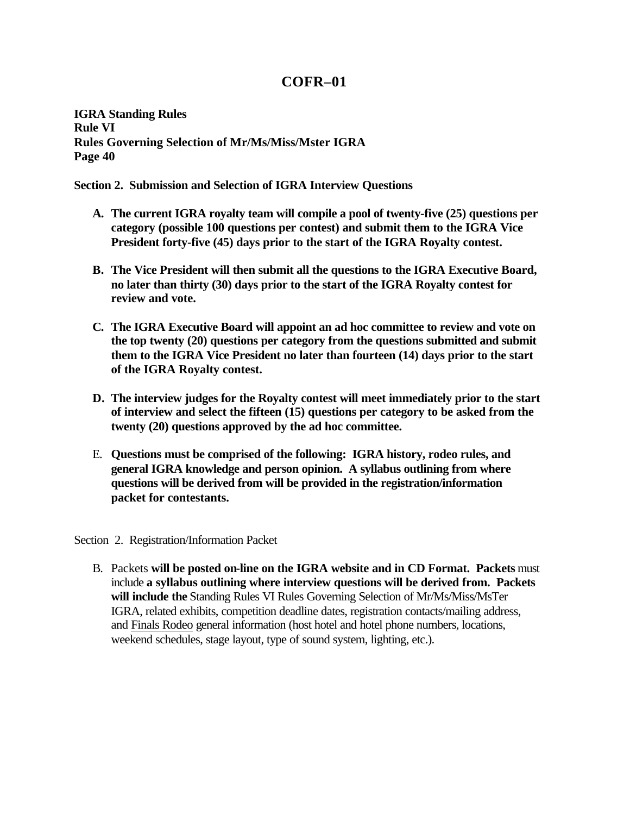# **COFR–01**

**IGRA Standing Rules Rule VI Rules Governing Selection of Mr/Ms/Miss/Mster IGRA Page 40** 

**Section 2. Submission and Selection of IGRA Interview Questions**

- **A. The current IGRA royalty team will compile a pool of twenty-five (25) questions per category (possible 100 questions per contest) and submit them to the IGRA Vice President forty-five (45) days prior to the start of the IGRA Royalty contest.**
- **B. The Vice President will then submit all the questions to the IGRA Executive Board, no later than thirty (30) days prior to the start of the IGRA Royalty contest for review and vote.**
- **C. The IGRA Executive Board will appoint an ad hoc committee to review and vote on the top twenty (20) questions per category from the questions submitted and submit them to the IGRA Vice President no later than fourteen (14) days prior to the start of the IGRA Royalty contest.**
- **D. The interview judges for the Royalty contest will meet immediately prior to the start of interview and select the fifteen (15) questions per category to be asked from the twenty (20) questions approved by the ad hoc committee.**
- E. **Questions must be comprised of the following: IGRA history, rodeo rules, and general IGRA knowledge and person opinion. A syllabus outlining from where questions will be derived from will be provided in the registration/information packet for contestants.**

Section 2. Registration/Information Packet

B. Packets **will be posted on-line on the IGRA website and in CD Format. Packets** must include **a syllabus outlining where interview questions will be derived from. Packets will include the** Standing Rules VI Rules Governing Selection of Mr/Ms/Miss/MsTer IGRA, related exhibits, competition deadline dates, registration contacts/mailing address, and Finals Rodeo general information (host hotel and hotel phone numbers, locations, weekend schedules, stage layout, type of sound system, lighting, etc.).